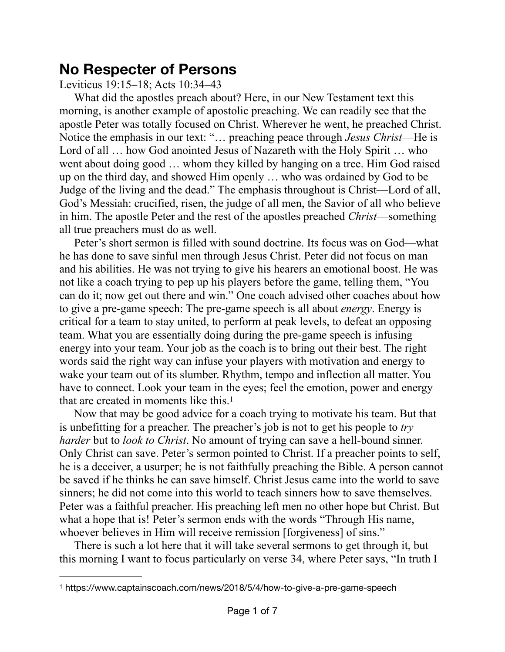## **No Respecter of Persons**

Leviticus 19:15–18; Acts 10:34–43

What did the apostles preach about? Here, in our New Testament text this morning, is another example of apostolic preaching. We can readily see that the apostle Peter was totally focused on Christ. Wherever he went, he preached Christ. Notice the emphasis in our text: "… preaching peace through *Jesus Christ*—He is Lord of all ... how God anointed Jesus of Nazareth with the Holy Spirit ... who went about doing good … whom they killed by hanging on a tree. Him God raised up on the third day, and showed Him openly … who was ordained by God to be Judge of the living and the dead." The emphasis throughout is Christ—Lord of all, God's Messiah: crucified, risen, the judge of all men, the Savior of all who believe in him. The apostle Peter and the rest of the apostles preached *Christ*—something all true preachers must do as well.

Peter's short sermon is filled with sound doctrine. Its focus was on God—what he has done to save sinful men through Jesus Christ. Peter did not focus on man and his abilities. He was not trying to give his hearers an emotional boost. He was not like a coach trying to pep up his players before the game, telling them, "You can do it; now get out there and win." One coach advised other coaches about how to give a pre-game speech: The pre-game speech is all about *energy*. Energy is critical for a team to stay united, to perform at peak levels, to defeat an opposing team. What you are essentially doing during the pre-game speech is infusing energy into your team. Your job as the coach is to bring out their best. The right words said the right way can infuse your players with motivation and energy to wake your team out of its slumber. Rhythm, tempo and inflection all matter. You have to connect. Look your team in the eyes; feel the emotion, power and energy that are created in moments like this[.1](#page-0-0)

<span id="page-0-1"></span>Now that may be good advice for a coach trying to motivate his team. But that is unbefitting for a preacher. The preacher's job is not to get his people to *try harder* but to *look to Christ*. No amount of trying can save a hell-bound sinner. Only Christ can save. Peter's sermon pointed to Christ. If a preacher points to self, he is a deceiver, a usurper; he is not faithfully preaching the Bible. A person cannot be saved if he thinks he can save himself. Christ Jesus came into the world to save sinners; he did not come into this world to teach sinners how to save themselves. Peter was a faithful preacher. His preaching left men no other hope but Christ. But what a hope that is! Peter's sermon ends with the words "Through His name, whoever believes in Him will receive remission [forgiveness] of sins."

There is such a lot here that it will take several sermons to get through it, but this morning I want to focus particularly on verse 34, where Peter says, "In truth I

<span id="page-0-0"></span>[<sup>1</sup>](#page-0-1) https://www.captainscoach.com/news/2018/5/4/how-to-give-a-pre-game-speech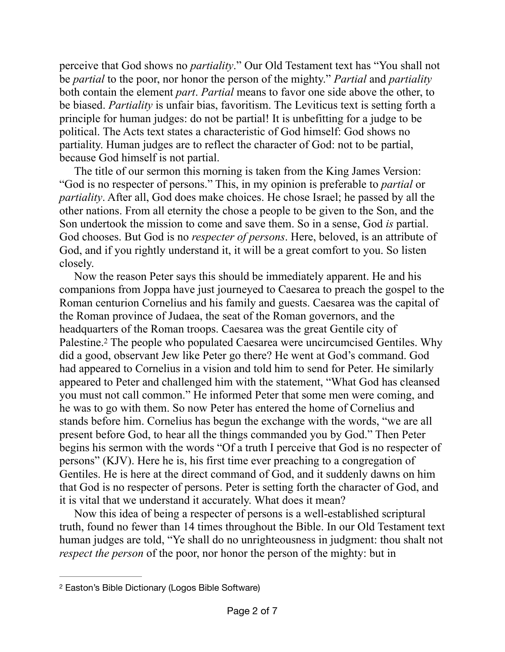perceive that God shows no *partiality*." Our Old Testament text has "You shall not be *partial* to the poor, nor honor the person of the mighty." *Partial* and *partiality* both contain the element *part*. *Partial* means to favor one side above the other, to be biased. *Partiality* is unfair bias, favoritism. The Leviticus text is setting forth a principle for human judges: do not be partial! It is unbefitting for a judge to be political. The Acts text states a characteristic of God himself: God shows no partiality. Human judges are to reflect the character of God: not to be partial, because God himself is not partial.

The title of our sermon this morning is taken from the King James Version: "God is no respecter of persons." This, in my opinion is preferable to *partial* or *partiality*. After all, God does make choices. He chose Israel; he passed by all the other nations. From all eternity the chose a people to be given to the Son, and the Son undertook the mission to come and save them. So in a sense, God *is* partial. God chooses. But God is no *respecter of persons*. Here, beloved, is an attribute of God, and if you rightly understand it, it will be a great comfort to you. So listen closely.

<span id="page-1-1"></span>Now the reason Peter says this should be immediately apparent. He and his companions from Joppa have just journeyed to Caesarea to preach the gospel to the Roman centurion Cornelius and his family and guests. Caesarea was the capital of the Roman province of Judaea, the seat of the Roman governors, and the headquarters of the Roman troops. Caesarea was the great Gentile city of Palestine.<sup>2</sup> The people who populated Caesarea were uncircumcised Gentiles[.](#page-1-0) Why did a good, observant Jew like Peter go there? He went at God's command. God had appeared to Cornelius in a vision and told him to send for Peter. He similarly appeared to Peter and challenged him with the statement, "What God has cleansed you must not call common." He informed Peter that some men were coming, and he was to go with them. So now Peter has entered the home of Cornelius and stands before him. Cornelius has begun the exchange with the words, "we are all present before God, to hear all the things commanded you by God." Then Peter begins his sermon with the words "Of a truth I perceive that God is no respecter of persons" (KJV). Here he is, his first time ever preaching to a congregation of Gentiles. He is here at the direct command of God, and it suddenly dawns on him that God is no respecter of persons. Peter is setting forth the character of God, and it is vital that we understand it accurately. What does it mean?

Now this idea of being a respecter of persons is a well-established scriptural truth, found no fewer than 14 times throughout the Bible. In our Old Testament text human judges are told, "Ye shall do no unrighteousness in judgment: thou shalt not *respect the person* of the poor, nor honor the person of the mighty: but in

<span id="page-1-0"></span><sup>&</sup>lt;sup>[2](#page-1-1)</sup> Easton's Bible Dictionary (Logos Bible Software)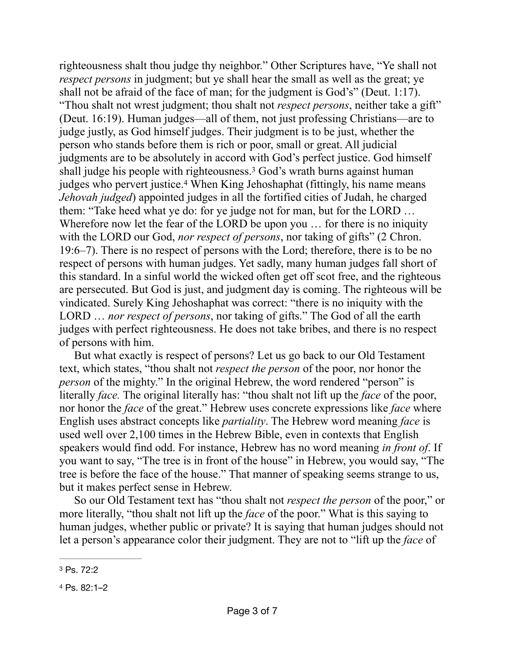<span id="page-2-3"></span><span id="page-2-2"></span>righteousness shalt thou judge thy neighbor." Other Scriptures have, "Ye shall not *respect persons* in judgment; but ye shall hear the small as well as the great; ye shall not be afraid of the face of man; for the judgment is God's" (Deut. 1:17). "Thou shalt not wrest judgment; thou shalt not *respect persons*, neither take a gift" (Deut. 16:19). Human judges—all of them, not just professing Christians—are to judge justly, as God himself judges. Their judgment is to be just, whether the person who stands before them is rich or poor, small or great. All judicial judgments are to be absolutely in accord with God's perfect justice. God himself shall judge his people with righteousness.<sup>[3](#page-2-0)</sup> God's wrath burns against human judgeswho pervert justice.<sup>[4](#page-2-1)</sup> When King Jehoshaphat (fittingly, his name means *Jehovah judged*) appointed judges in all the fortified cities of Judah, he charged them: "Take heed what ye do: for ye judge not for man, but for the LORD … Wherefore now let the fear of the LORD be upon you … for there is no iniquity with the LORD our God, *nor respect of persons*, nor taking of gifts" (2 Chron. 19:6–7). There is no respect of persons with the Lord; therefore, there is to be no respect of persons with human judges. Yet sadly, many human judges fall short of this standard. In a sinful world the wicked often get off scot free, and the righteous are persecuted. But God is just, and judgment day is coming. The righteous will be vindicated. Surely King Jehoshaphat was correct: "there is no iniquity with the LORD … *nor respect of persons*, nor taking of gifts." The God of all the earth judges with perfect righteousness. He does not take bribes, and there is no respect of persons with him.

But what exactly is respect of persons? Let us go back to our Old Testament text, which states, "thou shalt not *respect the person* of the poor, nor honor the *person* of the mighty." In the original Hebrew, the word rendered "person" is literally *face.* The original literally has: "thou shalt not lift up the *face* of the poor, nor honor the *face* of the great." Hebrew uses concrete expressions like *face* where English uses abstract concepts like *partiality*. The Hebrew word meaning *face* is used well over 2,100 times in the Hebrew Bible, even in contexts that English speakers would find odd. For instance, Hebrew has no word meaning *in front of*. If you want to say, "The tree is in front of the house" in Hebrew, you would say, "The tree is before the face of the house." That manner of speaking seems strange to us, but it makes perfect sense in Hebrew.

So our Old Testament text has "thou shalt not *respect the person* of the poor," or more literally, "thou shalt not lift up the *face* of the poor." What is this saying to human judges, whether public or private? It is saying that human judges should not let a person's appearance color their judgment. They are not to "lift up the *face* of

<span id="page-2-0"></span>[<sup>3</sup>](#page-2-2) Ps. 72:2

<span id="page-2-1"></span>[<sup>4</sup>](#page-2-3) Ps. 82:1–2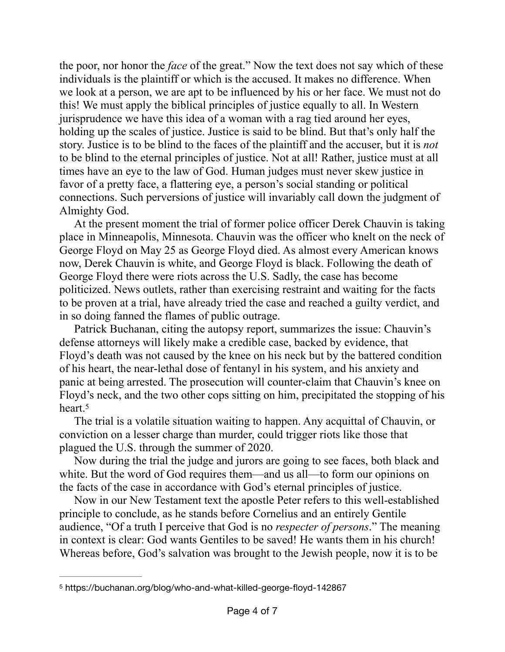the poor, nor honor the *face* of the great." Now the text does not say which of these individuals is the plaintiff or which is the accused. It makes no difference. When we look at a person, we are apt to be influenced by his or her face. We must not do this! We must apply the biblical principles of justice equally to all. In Western jurisprudence we have this idea of a woman with a rag tied around her eyes, holding up the scales of justice. Justice is said to be blind. But that's only half the story. Justice is to be blind to the faces of the plaintiff and the accuser, but it is *not* to be blind to the eternal principles of justice. Not at all! Rather, justice must at all times have an eye to the law of God. Human judges must never skew justice in favor of a pretty face, a flattering eye, a person's social standing or political connections. Such perversions of justice will invariably call down the judgment of Almighty God.

At the present moment the trial of former police officer Derek Chauvin is taking place in Minneapolis, Minnesota. Chauvin was the officer who knelt on the neck of George Floyd on May 25 as George Floyd died. As almost every American knows now, Derek Chauvin is white, and George Floyd is black. Following the death of George Floyd there were riots across the U.S. Sadly, the case has become politicized. News outlets, rather than exercising restraint and waiting for the facts to be proven at a trial, have already tried the case and reached a guilty verdict, and in so doing fanned the flames of public outrage.

Patrick Buchanan, citing the autopsy report, summarizes the issue: Chauvin's defense attorneys will likely make a credible case, backed by evidence, that Floyd's death was not caused by the knee on his neck but by the battered condition of his heart, the near-lethal dose of fentanyl in his system, and his anxiety and panic at being arrested. The prosecution will counter-claim that Chauvin's knee on Floyd's neck, and the two other cops sitting on him, precipitated the stopping of his heart[.5](#page-3-0)

<span id="page-3-1"></span>The trial is a volatile situation waiting to happen. Any acquittal of Chauvin, or conviction on a lesser charge than murder, could trigger riots like those that plagued the U.S. through the summer of 2020.

Now during the trial the judge and jurors are going to see faces, both black and white. But the word of God requires them—and us all—to form our opinions on the facts of the case in accordance with God's eternal principles of justice.

Now in our New Testament text the apostle Peter refers to this well-established principle to conclude, as he stands before Cornelius and an entirely Gentile audience, "Of a truth I perceive that God is no *respecter of persons*." The meaning in context is clear: God wants Gentiles to be saved! He wants them in his church! Whereas before, God's salvation was brought to the Jewish people, now it is to be

<span id="page-3-0"></span>[<sup>5</sup>](#page-3-1) https://buchanan.org/blog/who-and-what-killed-george-floyd-142867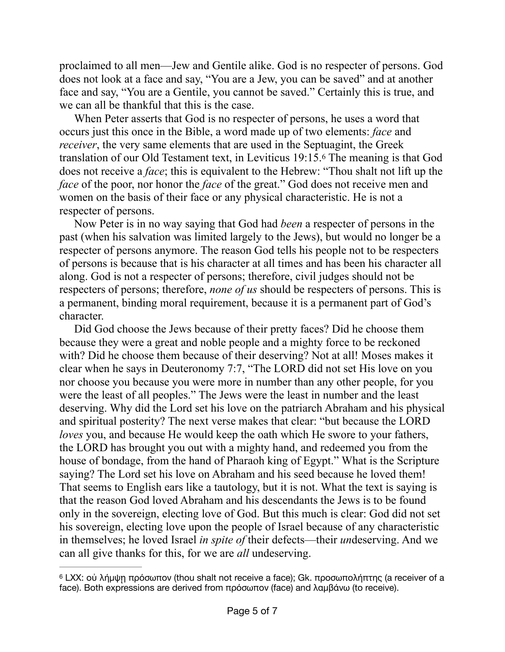proclaimed to all men—Jew and Gentile alike. God is no respecter of persons. God does not look at a face and say, "You are a Jew, you can be saved" and at another face and say, "You are a Gentile, you cannot be saved." Certainly this is true, and we can all be thankful that this is the case.

<span id="page-4-1"></span>When Peter asserts that God is no respecter of persons, he uses a word that occurs just this once in the Bible, a word made up of two elements: *face* and *receiver*, the very same elements that are used in the Septuagint, the Greek translation of our Old Testament text, in Leviticus 19:15[.](#page-4-0)<sup>[6](#page-4-0)</sup> The meaning is that God does not receive a *face*; this is equivalent to the Hebrew: "Thou shalt not lift up the *face* of the poor, nor honor the *face* of the great." God does not receive men and women on the basis of their face or any physical characteristic. He is not a respecter of persons.

Now Peter is in no way saying that God had *been* a respecter of persons in the past (when his salvation was limited largely to the Jews), but would no longer be a respecter of persons anymore. The reason God tells his people not to be respecters of persons is because that is his character at all times and has been his character all along. God is not a respecter of persons; therefore, civil judges should not be respecters of persons; therefore, *none of us* should be respecters of persons. This is a permanent, binding moral requirement, because it is a permanent part of God's character.

Did God choose the Jews because of their pretty faces? Did he choose them because they were a great and noble people and a mighty force to be reckoned with? Did he choose them because of their deserving? Not at all! Moses makes it clear when he says in Deuteronomy 7:7, "The LORD did not set His love on you nor choose you because you were more in number than any other people, for you were the least of all peoples." The Jews were the least in number and the least deserving. Why did the Lord set his love on the patriarch Abraham and his physical and spiritual posterity? The next verse makes that clear: "but because the LORD *loves* you, and because He would keep the oath which He swore to your fathers, the LORD has brought you out with a mighty hand, and redeemed you from the house of bondage, from the hand of Pharaoh king of Egypt." What is the Scripture saying? The Lord set his love on Abraham and his seed because he loved them! That seems to English ears like a tautology, but it is not. What the text is saying is that the reason God loved Abraham and his descendants the Jews is to be found only in the sovereign, electing love of God. But this much is clear: God did not set his sovereign, electing love upon the people of Israel because of any characteristic in themselves; he loved Israel *in spite of* their defects—their *un*deserving. And we can all give thanks for this, for we are *all* undeserving.

<span id="page-4-0"></span><sup>&</sup>lt;sup>[6](#page-4-1)</sup> LXX: οὐ λήμψη πρόσωπον (thou shalt not receive a face); Gk. προσωπολήπτης (a receiver of a face). Both expressions are derived from πρόσωπον (face) and λαμβάνω (to receive).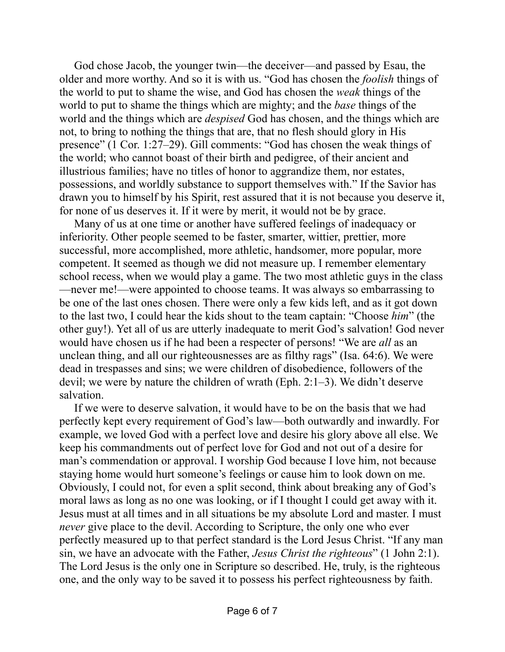God chose Jacob, the younger twin—the deceiver—and passed by Esau, the older and more worthy. And so it is with us. "God has chosen the *foolish* things of the world to put to shame the wise, and God has chosen the *weak* things of the world to put to shame the things which are mighty; and the *base* things of the world and the things which are *despised* God has chosen, and the things which are not, to bring to nothing the things that are, that no flesh should glory in His presence" (1 Cor. 1:27–29). Gill comments: "God has chosen the weak things of the world; who cannot boast of their birth and pedigree, of their ancient and illustrious families; have no titles of honor to aggrandize them, nor estates, possessions, and worldly substance to support themselves with." If the Savior has drawn you to himself by his Spirit, rest assured that it is not because you deserve it, for none of us deserves it. If it were by merit, it would not be by grace.

Many of us at one time or another have suffered feelings of inadequacy or inferiority. Other people seemed to be faster, smarter, wittier, prettier, more successful, more accomplished, more athletic, handsomer, more popular, more competent. It seemed as though we did not measure up. I remember elementary school recess, when we would play a game. The two most athletic guys in the class —never me!—were appointed to choose teams. It was always so embarrassing to be one of the last ones chosen. There were only a few kids left, and as it got down to the last two, I could hear the kids shout to the team captain: "Choose *him*" (the other guy!). Yet all of us are utterly inadequate to merit God's salvation! God never would have chosen us if he had been a respecter of persons! "We are *all* as an unclean thing, and all our righteousnesses are as filthy rags" (Isa. 64:6). We were dead in trespasses and sins; we were children of disobedience, followers of the devil; we were by nature the children of wrath (Eph. 2:1–3). We didn't deserve salvation.

If we were to deserve salvation, it would have to be on the basis that we had perfectly kept every requirement of God's law—both outwardly and inwardly. For example, we loved God with a perfect love and desire his glory above all else. We keep his commandments out of perfect love for God and not out of a desire for man's commendation or approval. I worship God because I love him, not because staying home would hurt someone's feelings or cause him to look down on me. Obviously, I could not, for even a split second, think about breaking any of God's moral laws as long as no one was looking, or if I thought I could get away with it. Jesus must at all times and in all situations be my absolute Lord and master. I must *never* give place to the devil. According to Scripture, the only one who ever perfectly measured up to that perfect standard is the Lord Jesus Christ. "If any man sin, we have an advocate with the Father, *Jesus Christ the righteous*" (1 John 2:1). The Lord Jesus is the only one in Scripture so described. He, truly, is the righteous one, and the only way to be saved it to possess his perfect righteousness by faith.